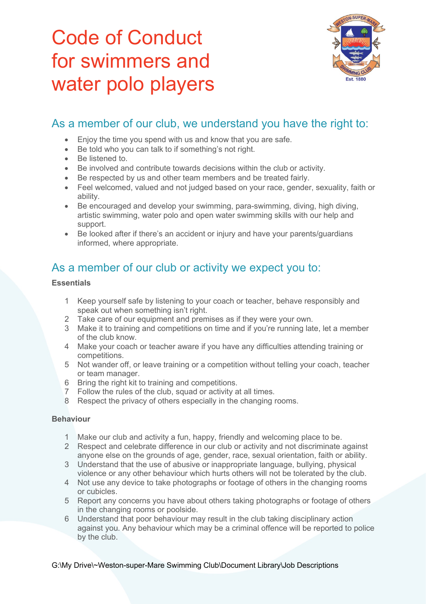# Code of Conduct for swimmers and water polo players



# As a member of our club, we understand you have the right to:

- Enjoy the time you spend with us and know that you are safe.<br>• Be told who you can talk to if something's not right.
- Be told who you can talk to if something's not right.
- Be listened to.
- Be involved and contribute towards decisions within the club or activity.
- Be respected by us and other team members and be treated fairly.
- Feel welcomed, valued and not judged based on your race, gender, sexuality, faith or ability.
- Be encouraged and develop your swimming, para-swimming, diving, high diving, artistic swimming, water polo and open water swimming skills with our help and support.
- Be looked after if there's an accident or injury and have your parents/guardians informed, where appropriate.

## As a member of our club or activity we expect you to:

## **Essentials**

- 1 Keep yourself safe by listening to your coach or teacher, behave responsibly and speak out when something isn't right.
- 2 Take care of our equipment and premises as if they were your own.
- 3 Make it to training and competitions on time and if you're running late, let a member of the club know.
- 4 Make your coach or teacher aware if you have any difficulties attending training or competitions.
- 5 Not wander off, or leave training or a competition without telling your coach, teacher or team manager.
- 6 Bring the right kit to training and competitions.
- 7 Follow the rules of the club, squad or activity at all times.
- 8 Respect the privacy of others especially in the changing rooms.

### **Behaviour**

- 1 Make our club and activity a fun, happy, friendly and welcoming place to be.
- 2 Respect and celebrate difference in our club or activity and not discriminate against anyone else on the grounds of age, gender, race, sexual orientation, faith or ability.
- 3 Understand that the use of abusive or inappropriate language, bullying, physical violence or any other behaviour which hurts others will not be tolerated by the club.
- 4 Not use any device to take photographs or footage of others in the changing rooms or cubicles.
- 5 Report any concerns you have about others taking photographs or footage of others in the changing rooms or poolside.
- 6 Understand that poor behaviour may result in the club taking disciplinary action against you. Any behaviour which may be a criminal offence will be reported to police by the club.

G:\My Drive\~Weston-super-Mare Swimming Club\Document Library\Job Descriptions